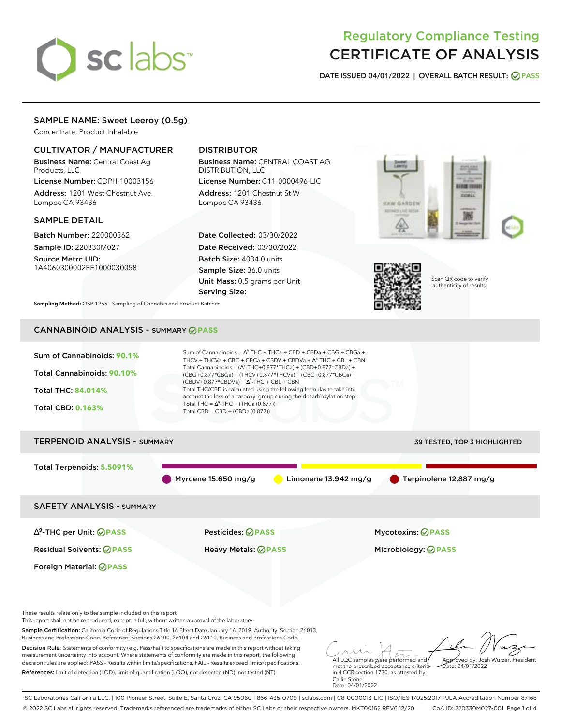# sclabs<sup>\*</sup>

## Regulatory Compliance Testing CERTIFICATE OF ANALYSIS

**DATE ISSUED 04/01/2022 | OVERALL BATCH RESULT: PASS**

### SAMPLE NAME: Sweet Leeroy (0.5g)

Concentrate, Product Inhalable

#### CULTIVATOR / MANUFACTURER

Business Name: Central Coast Ag Products, LLC

License Number: CDPH-10003156 Address: 1201 West Chestnut Ave. Lompoc CA 93436

#### SAMPLE DETAIL

Batch Number: 220000362 Sample ID: 220330M027

Source Metrc UID: 1A4060300002EE1000030058

#### DISTRIBUTOR

Business Name: CENTRAL COAST AG DISTRIBUTION, LLC License Number: C11-0000496-LIC

Address: 1201 Chestnut St W Lompoc CA 93436

Date Collected: 03/30/2022 Date Received: 03/30/2022 Batch Size: 4034.0 units Sample Size: 36.0 units Unit Mass: 0.5 grams per Unit Serving Size:





Scan QR code to verify authenticity of results.

**Sampling Method:** QSP 1265 - Sampling of Cannabis and Product Batches

## CANNABINOID ANALYSIS - SUMMARY **PASS**



References: limit of detection (LOD), limit of quantification (LOQ), not detected (ND), not tested (NT)

met the prescribed acceptance criteria in 4 CCR section 1730, as attested by: Callie Stone Date: 04/01/2022

SC Laboratories California LLC. | 100 Pioneer Street, Suite E, Santa Cruz, CA 95060 | 866-435-0709 | sclabs.com | C8-0000013-LIC | ISO/IES 17025:2017 PJLA Accreditation Number 87168 © 2022 SC Labs all rights reserved. Trademarks referenced are trademarks of either SC Labs or their respective owners. MKT00162 REV6 12/20 CoA ID: 220330M027-001 Page 1 of 4